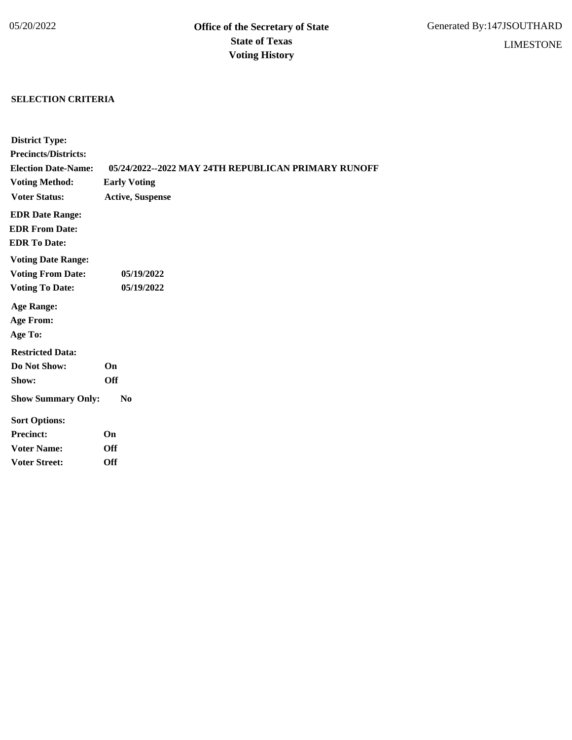## **SELECTION CRITERIA**

| <b>District Type:</b>       |                                                     |
|-----------------------------|-----------------------------------------------------|
| <b>Precincts/Districts:</b> |                                                     |
| <b>Election Date-Name:</b>  | 05/24/2022--2022 MAY 24TH REPUBLICAN PRIMARY RUNOFF |
| <b>Voting Method:</b>       | <b>Early Voting</b>                                 |
| <b>Voter Status:</b>        | <b>Active, Suspense</b>                             |
| <b>EDR Date Range:</b>      |                                                     |
| <b>EDR From Date:</b>       |                                                     |
| <b>EDR To Date:</b>         |                                                     |
| <b>Voting Date Range:</b>   |                                                     |
| <b>Voting From Date:</b>    | 05/19/2022                                          |
| <b>Voting To Date:</b>      | 05/19/2022                                          |
| <b>Age Range:</b>           |                                                     |
| <b>Age From:</b>            |                                                     |
| Age To:                     |                                                     |
| <b>Restricted Data:</b>     |                                                     |
| Do Not Show:                | On                                                  |
| Show:                       | <b>Off</b>                                          |
| <b>Show Summary Only:</b>   | No                                                  |
| <b>Sort Options:</b>        |                                                     |
| <b>Precinct:</b>            | On                                                  |
| <b>Voter Name:</b>          | <b>Off</b>                                          |
| <b>Voter Street:</b>        | <b>Off</b>                                          |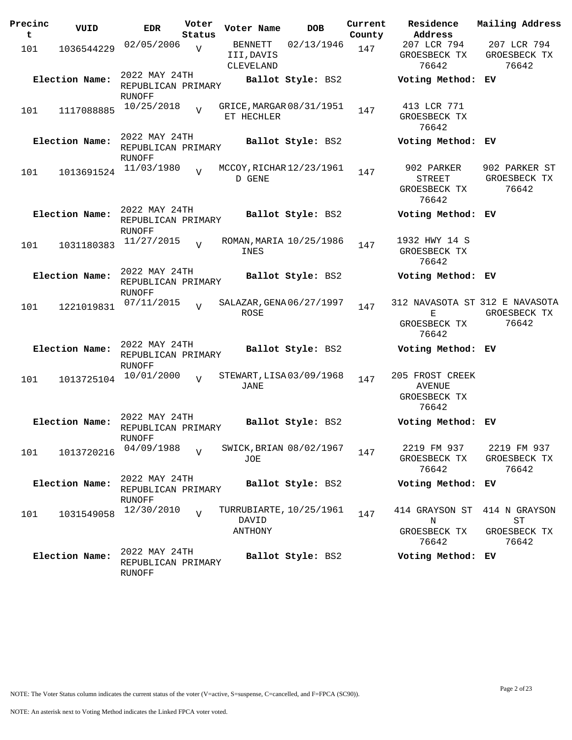| Precinc<br>t | VUID           | EDR                                           | Voter<br>Status | Voter Name                                  | <b>DOB</b>              | Current<br>County | Residence<br>Address                                  | Mailing Address                                         |
|--------------|----------------|-----------------------------------------------|-----------------|---------------------------------------------|-------------------------|-------------------|-------------------------------------------------------|---------------------------------------------------------|
| 101          | 1036544229     | 02/05/2006                                    | $\overline{V}$  | BENNETT<br>III, DAVIS<br>CLEVELAND          | 02/13/1946              | 147               | 207 LCR 794<br>GROESBECK TX<br>76642                  | 207 LCR 794<br>GROESBECK TX<br>76642                    |
|              | Election Name: | 2022 MAY 24TH<br>REPUBLICAN PRIMARY<br>RUNOFF |                 |                                             | Ballot Style: BS2       |                   | Voting Method: EV                                     |                                                         |
| 101          | 1117088885     | 10/25/2018                                    | $\overline{z}$  | GRICE, MARGAR 08/31/1951<br>ET HECHLER      |                         | 147               | 413 LCR 771<br>GROESBECK TX<br>76642                  |                                                         |
|              | Election Name: | 2022 MAY 24TH<br>REPUBLICAN PRIMARY<br>RUNOFF |                 |                                             | Ballot Style: BS2       |                   | Voting Method: EV                                     |                                                         |
| 101          | 1013691524     | 11/03/1980                                    | $\overline{U}$  | MCCOY, RICHAR 12/23/1961<br>D GENE          |                         | 147               | 902 PARKER<br><b>STREET</b><br>GROESBECK TX<br>76642  | 902 PARKER ST<br>GROESBECK TX<br>76642                  |
|              | Election Name: | 2022 MAY 24TH<br>REPUBLICAN PRIMARY<br>RUNOFF |                 |                                             | Ballot Style: BS2       |                   | Voting Method: EV                                     |                                                         |
| 101          | 1031180383     | 11/27/2015                                    | $\overline{z}$  | ROMAN, MARIA 10/25/1986<br>INES             |                         | 147               | 1932 HWY 14 S<br>GROESBECK TX<br>76642                |                                                         |
|              | Election Name: | 2022 MAY 24TH<br>REPUBLICAN PRIMARY<br>RUNOFF |                 |                                             | Ballot Style: BS2       |                   | Voting Method: EV                                     |                                                         |
| 101          | 1221019831     | 07/11/2015                                    | $\overline{17}$ | SALAZAR, GENA 06/27/1997<br>ROSE            |                         | 147               | Е<br>GROESBECK TX<br>76642                            | 312 NAVASOTA ST 312 E NAVASOTA<br>GROESBECK TX<br>76642 |
|              | Election Name: | 2022 MAY 24TH<br>REPUBLICAN PRIMARY<br>RUNOFF |                 |                                             | Ballot Style: BS2       |                   | Voting Method: EV                                     |                                                         |
| 101          | 1013725104     | 10/01/2000                                    | $\overline{U}$  | STEWART, LISA 03/09/1968<br>JANE            |                         | 147               | 205 FROST CREEK<br>AVENUE<br>GROESBECK TX<br>76642    |                                                         |
|              | Election Name: | 2022 MAY 24TH<br>REPUBLICAN PRIMARY<br>RUNOFF |                 |                                             | Ballot Style: BS2       |                   | Voting Method: EV                                     |                                                         |
| 101          | 1013720216     | 04/09/1988                                    | $\overline{U}$  | <b>JOE</b>                                  | SWICK, BRIAN 08/02/1967 | 147               | 2219 FM 937<br>GROESBECK TX<br>76642                  | 2219 FM 937<br>GROESBECK TX<br>76642                    |
|              | Election Name: | 2022 MAY 24TH<br>REPUBLICAN PRIMARY<br>RUNOFF |                 |                                             | Ballot Style: BS2       |                   | Voting Method: EV                                     |                                                         |
| 101          | 1031549058     | 12/30/2010                                    | $\overline{U}$  | TURRUBIARTE, 10/25/1961<br>DAVID<br>ANTHONY |                         | 147               | 414 GRAYSON ST<br>$_{\rm N}$<br>GROESBECK TX<br>76642 | 414 N GRAYSON<br>${\rm ST}$<br>GROESBECK TX<br>76642    |
|              | Election Name: | 2022 MAY 24TH<br>REPUBLICAN PRIMARY<br>RUNOFF |                 |                                             | Ballot Style: BS2       |                   | Voting Method: EV                                     |                                                         |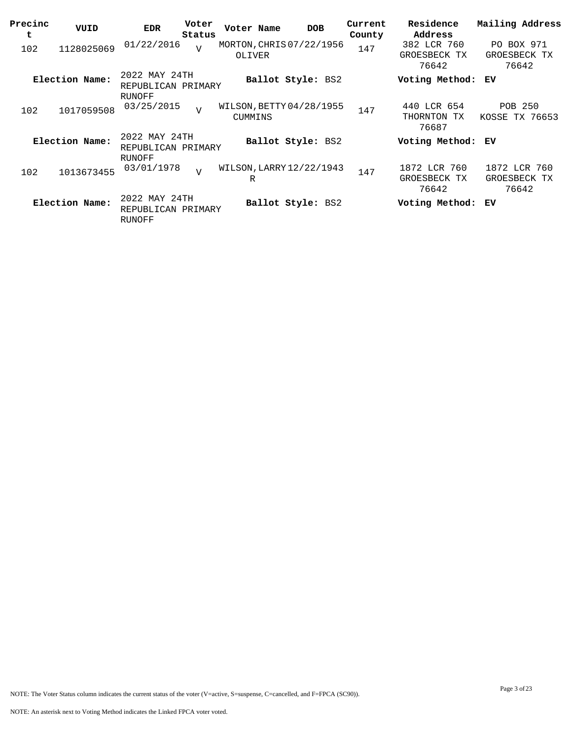| Precinc<br>t | VUID           | <b>EDR</b>                                    | Voter<br>Status | Voter Name | <b>DOB</b>               | Current<br>County | Residence<br>Address                  | Mailing Address                       |
|--------------|----------------|-----------------------------------------------|-----------------|------------|--------------------------|-------------------|---------------------------------------|---------------------------------------|
| 102          | 1128025069     | 01/22/2016                                    | $\overline{V}$  | OLIVER     | MORTON, CHRIS 07/22/1956 | 147               | 382 LCR 760<br>GROESBECK TX<br>76642  | PO BOX 971<br>GROESBECK TX<br>76642   |
|              | Election Name: | 2022 MAY 24TH<br>REPUBLICAN PRIMARY<br>RUNOFF |                 |            | Ballot Style: BS2        |                   | Voting Method:                        | ЕV                                    |
| 102          | 1017059508     | 03/25/2015                                    | $\overline{v}$  | CUMMINS    | WILSON, BETTY 04/28/1955 | 147               | 440 LCR 654<br>THORNTON TX<br>76687   | <b>POB 250</b><br>KOSSE TX 76653      |
|              | Election Name: | 2022 MAY 24TH<br>REPUBLICAN PRIMARY<br>RUNOFF |                 |            | Ballot Style: BS2        |                   | Voting Method: EV                     |                                       |
| 102          | 1013673455     | 03/01/1978                                    | $\overline{v}$  | R          | WILSON, LARRY 12/22/1943 | 147               | 1872 LCR 760<br>GROESBECK TX<br>76642 | 1872 LCR 760<br>GROESBECK TX<br>76642 |
|              | Election Name: | 2022 MAY 24TH<br>REPUBLICAN PRIMARY<br>RUNOFF |                 |            | Ballot Style: BS2        |                   | Voting Method:                        | ЕV                                    |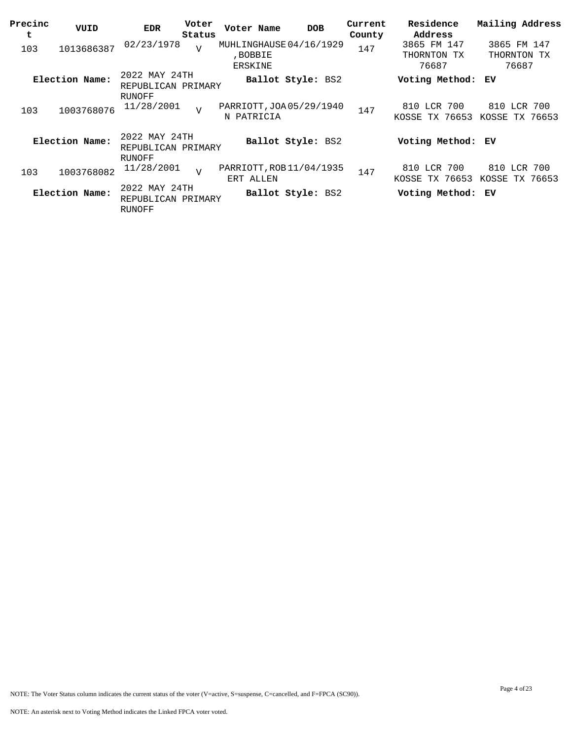| Precinc<br>t | VUID           | <b>EDR</b>                                    | Voter<br>Status | Voter Name                             | <b>DOB</b>        | Current<br>County | Residence<br>Address             | Mailing Address                  |
|--------------|----------------|-----------------------------------------------|-----------------|----------------------------------------|-------------------|-------------------|----------------------------------|----------------------------------|
| 103          | 1013686387     | 02/23/1978                                    | $\overline{V}$  | MUHLINGHAUSE 04/16/1929<br>, BOBBIE    |                   | 147               | 3865 FM 147<br>THORNTON TX       | 3865 FM 147<br>THORNTON TX       |
|              |                |                                               |                 | ERSKINE                                |                   |                   | 76687                            | 76687                            |
|              | Election Name: | 2022 MAY 24TH<br>REPUBLICAN PRIMARY           |                 |                                        | Ballot Style: BS2 |                   | Voting Method:                   | ЕV                               |
| 103          | 1003768076     | RUNOFF<br>11/28/2001                          | $\overline{V}$  | PARRIOTT, JOA 05/29/1940<br>N PATRICIA |                   | 147               | 810 LCR 700<br>KOSSE TX 76653    | 810 LCR 700<br>KOSSE TX 76653    |
|              | Election Name: | 2022 MAY 24TH<br>REPUBLICAN PRIMARY           |                 |                                        | Ballot Style: BS2 |                   | Voting Method: EV                |                                  |
| 103          | 1003768082     | RUNOFF<br>11/28/2001                          | $\overline{v}$  | PARRIOTT, ROB 11/04/1935<br>ERT ALLEN  |                   | 147               | 810 LCR 700<br>TX 76653<br>KOSSE | 810 LCR 700<br>TX 76653<br>KOSSE |
|              | Election Name: | 2022 MAY 24TH<br>REPUBLICAN PRIMARY<br>RUNOFF |                 |                                        | Ballot Style: BS2 |                   | Voting Method: EV                |                                  |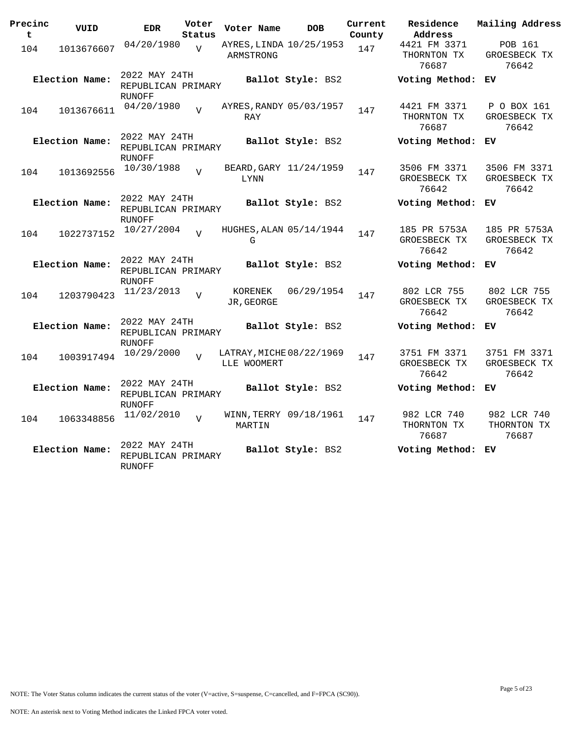| Precinc<br>t | VUID           | <b>EDR</b>                                           | Voter<br>Status | Voter Name            | <b>DOB</b>               | Current<br>County | Residence<br>Address                  | Mailing Address                       |
|--------------|----------------|------------------------------------------------------|-----------------|-----------------------|--------------------------|-------------------|---------------------------------------|---------------------------------------|
| 104          | 1013676607     | 04/20/1980                                           | $\overline{U}$  | ARMSTRONG             | AYRES, LINDA 10/25/1953  | 147               | 4421 FM 3371<br>THORNTON TX<br>76687  | POB 161<br>GROESBECK TX<br>76642      |
|              | Election Name: | 2022 MAY 24TH<br>REPUBLICAN PRIMARY<br><b>RUNOFF</b> |                 |                       | Ballot Style: BS2        |                   | Voting Method:                        | ЕV                                    |
| 104          | 1013676611     | 04/20/1980                                           | $\overline{z}$  | RAY                   | AYRES, RANDY 05/03/1957  | 147               | 4421 FM 3371<br>THORNTON TX<br>76687  | P O BOX 161<br>GROESBECK TX<br>76642  |
|              | Election Name: | 2022 MAY 24TH<br>REPUBLICAN PRIMARY<br><b>RUNOFF</b> |                 |                       | Ballot Style: BS2        |                   | Voting Method:                        | ЕV                                    |
| 104          | 1013692556     | 10/30/1988                                           | $\overline{z}$  | LYNN                  | BEARD, GARY 11/24/1959   | 147               | 3506 FM 3371<br>GROESBECK TX<br>76642 | 3506 FM 3371<br>GROESBECK TX<br>76642 |
|              | Election Name: | 2022 MAY 24TH<br>REPUBLICAN PRIMARY<br>RUNOFF        |                 |                       | Ballot Style: BS2        |                   | Voting Method:                        | ΕV                                    |
| 104          | 1022737152     | 10/27/2004                                           | $\overline{U}$  | G                     | HUGHES, ALAN 05/14/1944  | 147               | 185 PR 5753A<br>GROESBECK TX<br>76642 | 185 PR 5753A<br>GROESBECK TX<br>76642 |
|              | Election Name: | 2022 MAY 24TH<br>REPUBLICAN PRIMARY<br>RUNOFF        |                 |                       | Ballot Style: BS2        |                   | Voting Method:                        | ΕV                                    |
| 104          | 1203790423     | 11/23/2013                                           | $\overline{U}$  | KORENEK<br>JR, GEORGE | 06/29/1954               | 147               | 802 LCR 755<br>GROESBECK TX<br>76642  | 802 LCR 755<br>GROESBECK TX<br>76642  |
|              | Election Name: | 2022 MAY 24TH<br>REPUBLICAN PRIMARY<br><b>RUNOFF</b> |                 |                       | Ballot Style: BS2        |                   | Voting Method: EV                     |                                       |
| 104          | 1003917494     | 10/29/2000                                           | $\overline{z}$  | LLE WOOMERT           | LATRAY, MICHE 08/22/1969 | 147               | 3751 FM 3371<br>GROESBECK TX<br>76642 | 3751 FM 3371<br>GROESBECK TX<br>76642 |
|              | Election Name: | 2022 MAY 24TH<br>REPUBLICAN PRIMARY<br><b>RUNOFF</b> |                 |                       | Ballot Style: BS2        |                   | Voting Method:                        | ЕV                                    |
| 104          | 1063348856     | 11/02/2010                                           | $\overline{V}$  | MARTIN                | WINN, TERRY 09/18/1961   | 147               | 982 LCR 740<br>THORNTON TX<br>76687   | 982 LCR 740<br>THORNTON TX<br>76687   |
|              | Election Name: | 2022 MAY 24TH<br>REPUBLICAN PRIMARY<br><b>RUNOFF</b> |                 |                       | Ballot Style: BS2        |                   | Voting Method:                        | ЕV                                    |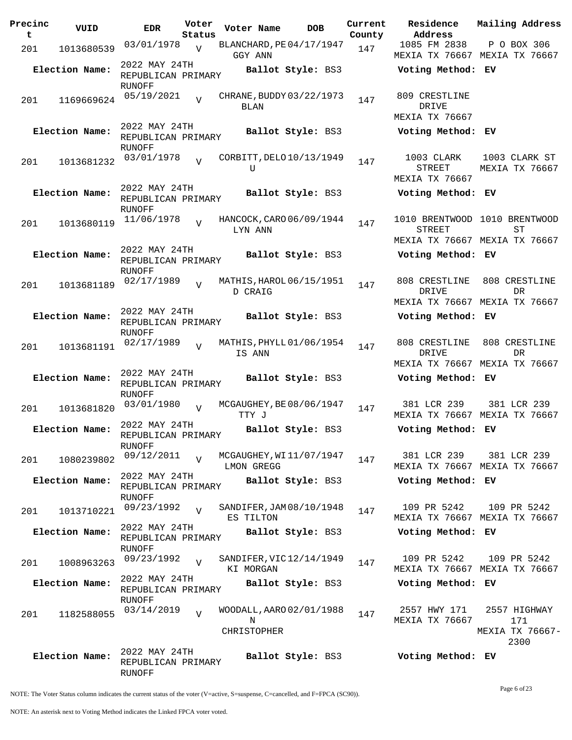| Precinc<br>t | VUID           | <b>EDR</b>                                           | Voter<br>Status | Voter Name                                   | <b>DOB</b>        | Current<br>County | Residence<br>Address                   | Mailing Address                                                      |
|--------------|----------------|------------------------------------------------------|-----------------|----------------------------------------------|-------------------|-------------------|----------------------------------------|----------------------------------------------------------------------|
| 201          | 1013680539     | 03/01/1978                                           | $\overline{V}$  | BLANCHARD, PE04/17/1947<br>GGY ANN           |                   | 147               | 1085 FM 2838                           | P O BOX 306<br>MEXIA TX 76667 MEXIA TX 76667                         |
|              | Election Name: | 2022 MAY 24TH<br>REPUBLICAN PRIMARY<br>RUNOFF        |                 |                                              | Ballot Style: BS3 |                   | Voting Method: EV                      |                                                                      |
| 201          | 1169669624     | 05/19/2021                                           | $\overline{z}$  | CHRANE, BUDDY 03/22/1973<br>BLAN             |                   | 147               | 809 CRESTLINE<br>DRIVE                 |                                                                      |
|              | Election Name: | 2022 MAY 24TH<br>REPUBLICAN PRIMARY<br><b>RUNOFF</b> |                 |                                              | Ballot Style: BS3 |                   | MEXIA TX 76667<br>Voting Method: EV    |                                                                      |
| 201          | 1013681232     | 03/01/1978                                           | $\overline{U}$  | CORBITT, DELO 10/13/1949<br>U                |                   | 147               | 1003 CLARK<br>STREET<br>MEXIA TX 76667 | 1003 CLARK ST<br>MEXIA TX 76667                                      |
|              | Election Name: | 2022 MAY 24TH<br>REPUBLICAN PRIMARY<br>RUNOFF        |                 |                                              | Ballot Style: BS3 |                   | Voting Method: EV                      |                                                                      |
| 201          | 1013680119     | 11/06/1978                                           | $\overline{z}$  | HANCOCK, CARO 06/09/1944<br>LYN ANN          |                   | 147               | STREET                                 | 1010 BRENTWOOD 1010 BRENTWOOD<br>ST<br>MEXIA TX 76667 MEXIA TX 76667 |
|              | Election Name: | 2022 MAY 24TH<br>REPUBLICAN PRIMARY<br><b>RUNOFF</b> |                 |                                              | Ballot Style: BS3 |                   | Voting Method: EV                      |                                                                      |
| 201          | 1013681189     | 02/17/1989                                           | $\overline{U}$  | MATHIS, HAROL 06/15/1951<br>D CRAIG          |                   | 147               | 808 CRESTLINE<br>DRIVE                 | 808 CRESTLINE<br>DR<br>MEXIA TX 76667 MEXIA TX 76667                 |
|              | Election Name: | 2022 MAY 24TH<br>REPUBLICAN PRIMARY<br>RUNOFF        |                 |                                              | Ballot Style: BS3 |                   | Voting Method: EV                      |                                                                      |
| 201          | 1013681191     | 02/17/1989                                           | $\overline{z}$  | MATHIS, PHYLL 01/06/1954<br>IS ANN           |                   | 147               | 808 CRESTLINE<br>DRIVE                 | 808 CRESTLINE<br><b>DR</b><br>MEXIA TX 76667 MEXIA TX 76667          |
|              | Election Name: | 2022 MAY 24TH<br>REPUBLICAN PRIMARY<br>RUNOFF        |                 |                                              | Ballot Style: BS3 |                   | Voting Method: EV                      |                                                                      |
| 201          | 1013681820     | 03/01/1980                                           | $\overline{V}$  | MCGAUGHEY, BE 08/06/1947<br>TTY J            |                   | 147               | 381 LCR 239                            | 381 LCR 239<br>MEXIA TX 76667 MEXIA TX 76667                         |
|              | Election Name: | 2022 MAY 24TH<br>REPUBLICAN PRIMARY<br><b>RUNOFF</b> |                 |                                              | Ballot Style: BS3 |                   | Voting Method: EV                      |                                                                      |
| 201          | 1080239802     | 09/12/2011<br>2022 MAY 24TH                          |                 | MCGAUGHEY, WI11/07/1947<br>LMON GREGG        |                   | 147               | 381 LCR 239                            | 381 LCR 239<br>MEXIA TX 76667 MEXIA TX 76667                         |
|              | Election Name: | REPUBLICAN PRIMARY<br>RUNOFF                         |                 |                                              | Ballot Style: BS3 |                   | Voting Method: EV                      |                                                                      |
| 201          | 1013710221     | 09/23/1992<br>2022 MAY 24TH                          | $\overline{V}$  | SANDIFER, JAM 08/10/1948<br>ES TILTON        |                   | 147               | 109 PR 5242                            | 109 PR 5242<br>MEXIA TX 76667 MEXIA TX 76667                         |
|              | Election Name: | REPUBLICAN PRIMARY<br>RUNOFF                         |                 |                                              | Ballot Style: BS3 |                   | Voting Method: EV                      |                                                                      |
| 201          | 1008963263     | 09/23/1992<br>2022 MAY 24TH                          | $\overline{V}$  | SANDIFER, VIC 12/14/1949<br>KI MORGAN        |                   | 147               | 109 PR 5242                            | 109 PR 5242<br>MEXIA TX 76667 MEXIA TX 76667                         |
|              | Election Name: | REPUBLICAN PRIMARY<br>RUNOFF                         |                 |                                              | Ballot Style: BS3 |                   | Voting Method: EV                      |                                                                      |
| 201          | 1182588055     | 03/14/2019                                           | $\overline{V}$  | WOODALL, AARO 02/01/1988<br>N<br>CHRISTOPHER |                   | 147               | 2557 HWY 171<br>MEXIA TX 76667         | 2557 HIGHWAY<br>171<br>MEXIA TX 76667-<br>2300                       |
|              | Election Name: | 2022 MAY 24TH<br>REPUBLICAN PRIMARY<br><b>RUNOFF</b> |                 |                                              | Ballot Style: BS3 |                   | Voting Method: EV                      |                                                                      |

NOTE: The Voter Status column indicates the current status of the voter (V=active, S=suspense, C=cancelled, and F=FPCA (SC90)).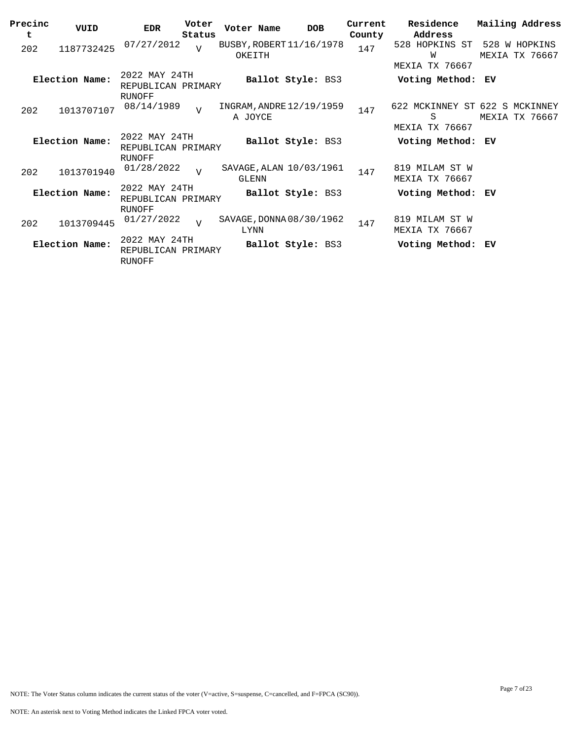| Precinc<br>t | VUID           | <b>EDR</b>                                           | Voter<br>Status | Voter Name                          | <b>DOB</b>        | Current<br>County | Residence<br>Address                                         | Mailing Address                 |
|--------------|----------------|------------------------------------------------------|-----------------|-------------------------------------|-------------------|-------------------|--------------------------------------------------------------|---------------------------------|
| 202          | 1187732425     | 07/27/2012                                           | $\overline{U}$  | BUSBY, ROBERT 11/16/1978<br>OKEITH  |                   | 147               | 528 HOPKINS ST<br>W                                          | 528 W HOPKINS<br>MEXIA TX 76667 |
|              | Election Name: | 2022 MAY 24TH<br>REPUBLICAN PRIMARY                  |                 |                                     | Ballot Style: BS3 |                   | MEXIA TX 76667<br>Voting Method: EV                          |                                 |
| 202          | 1013707107     | RUNOFF<br>08/14/1989                                 | $\overline{z}$  | INGRAM, ANDRE 12/19/1959<br>A JOYCE |                   | 147               | 622 MCKINNEY ST 622 S MCKINNEY<br>S<br><b>MEXIA TX 76667</b> | MEXIA TX 76667                  |
|              | Election Name: | 2022 MAY 24TH<br>REPUBLICAN PRIMARY<br>RUNOFF        |                 |                                     | Ballot Style: BS3 |                   | Voting Method: EV                                            |                                 |
| 202          | 1013701940     | 01/28/2022                                           | $\overline{U}$  | SAVAGE, ALAN 10/03/1961<br>GLENN    |                   | 147               | 819 MILAM ST W<br>MEXIA TX 76667                             |                                 |
|              | Election Name: | 2022 MAY 24TH<br>REPUBLICAN PRIMARY                  |                 |                                     | Ballot Style: BS3 |                   | Voting Method: EV                                            |                                 |
| 202          | 1013709445     | RUNOFF<br>01/27/2022                                 | $\overline{U}$  | SAVAGE, DONNA 08/30/1962<br>LYNN    |                   | 147               | 819 MILAM ST W<br>MEXIA TX 76667                             |                                 |
|              | Election Name: | 2022 MAY 24TH<br>REPUBLICAN PRIMARY<br><b>RUNOFF</b> |                 |                                     | Ballot Style: BS3 |                   | Voting Method: EV                                            |                                 |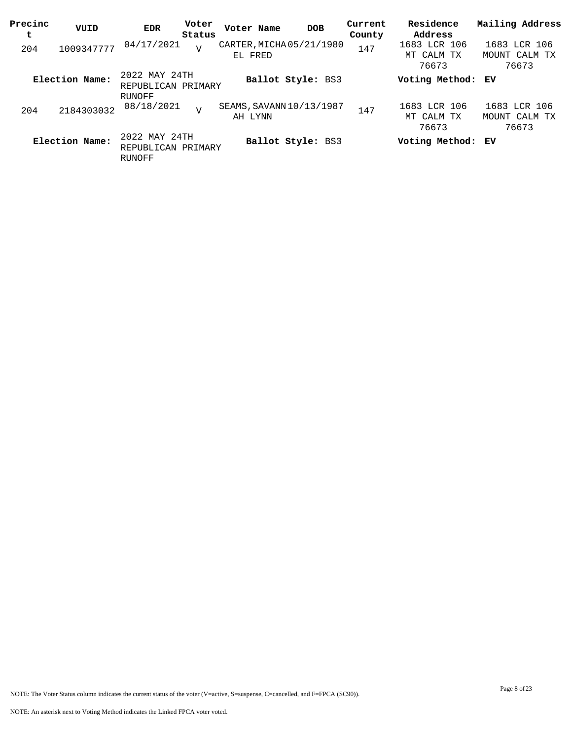| Precinc<br>t | VUID           | <b>EDR</b>                                    | Voter<br>Status | Voter Name | <b>DOB</b>               | Current<br>County | Residence<br>Address                | Mailing Address                        |
|--------------|----------------|-----------------------------------------------|-----------------|------------|--------------------------|-------------------|-------------------------------------|----------------------------------------|
| 204          | 1009347777     | 04/17/2021                                    | $\overline{U}$  | EL FRED    | CARTER, MICHA 05/21/1980 | 147               | 1683 LCR 106<br>MT CALM TX<br>76673 | 1683 LCR 106<br>MOUNT CALM TX<br>76673 |
|              | Election Name: | 2022 MAY 24TH<br>REPUBLICAN PRIMARY<br>RUNOFF |                 |            | Ballot Style: BS3        |                   | Voting Method: EV                   |                                        |
| 204          | 2184303032     | 08/18/2021                                    | $\overline{7}$  | AH LYNN    | SEAMS, SAVANN 10/13/1987 | 147               | 1683 LCR 106<br>MT CALM TX<br>76673 | 1683 LCR 106<br>MOUNT CALM TX<br>76673 |
|              | Election Name: | 2022 MAY 24TH<br>REPUBLICAN PRIMARY<br>RUNOFF |                 |            | Ballot Style: BS3        |                   | Voting Method: EV                   |                                        |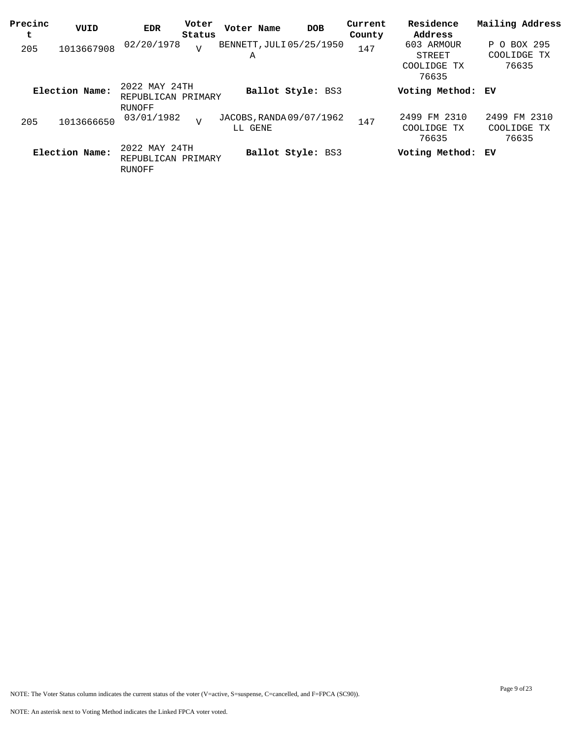| Precinc<br>t | VUID           | <b>EDR</b>                                    | Voter<br>Status | Voter Name                          | <b>DOB</b>        | Current<br>County | Residence<br>Address                         | Mailing Address                                  |
|--------------|----------------|-----------------------------------------------|-----------------|-------------------------------------|-------------------|-------------------|----------------------------------------------|--------------------------------------------------|
| 205          | 1013667908     | 02/20/1978                                    | $\overline{V}$  | BENNETT, JULI 05/25/1950<br>Α       |                   | 147               | 603 ARMOUR<br>STREET<br>COOLIDGE TX<br>76635 | BOX 295<br>Ρ<br>$\Omega$<br>COOLIDGE TX<br>76635 |
|              | Election Name: | 2022 MAY 24TH<br>REPUBLICAN PRIMARY<br>RUNOFF |                 |                                     | Ballot Style: BS3 |                   | Voting Method: EV                            |                                                  |
| 205          | 1013666650     | 03/01/1982                                    | V               | JACOBS, RANDA 09/07/1962<br>LL GENE |                   | 147               | 2499 FM 2310<br>COOLIDGE TX<br>76635         | 2499 FM 2310<br>COOLIDGE TX<br>76635             |
|              | Election Name: | 2022 MAY 24TH<br>REPUBLICAN PRIMARY<br>RUNOFF |                 |                                     | Ballot Style: BS3 |                   | Voting Method: EV                            |                                                  |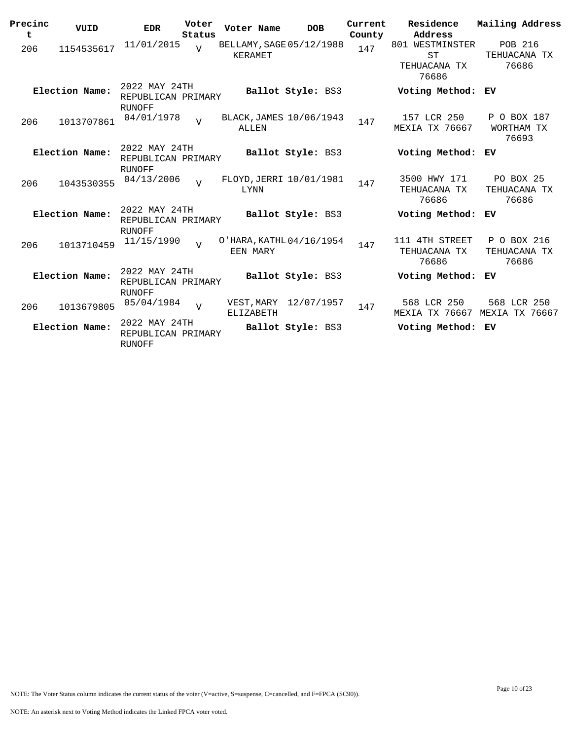| Precinc<br>t | VUID           | <b>EDR</b>                                           | Voter<br>Status | Voter Name                           | <b>DOB</b>               | Current<br>County | Residence<br>Address                                  | Mailing Address                           |
|--------------|----------------|------------------------------------------------------|-----------------|--------------------------------------|--------------------------|-------------------|-------------------------------------------------------|-------------------------------------------|
| 206          | 1154535617     | 11/01/2015                                           | $\overline{U}$  | BELLAMY, SAGE 05/12/1988<br>KERAMET  |                          | 147               | 801 WESTMINSTER<br><b>ST</b><br>TEHUACANA TX<br>76686 | POB 216<br>TEHUACANA TX<br>76686          |
|              | Election Name: | 2022 MAY 24TH<br>REPUBLICAN PRIMARY<br>RUNOFF        |                 |                                      | Ballot Style: BS3        |                   | Voting Method: EV                                     |                                           |
| 206          | 1013707861     | 04/01/1978                                           | $\overline{z}$  | BLACK, JAMES 10/06/1943<br>ALLEN     |                          | 147               | 157 LCR 250<br>MEXIA TX 76667                         | P O BOX 187<br>WORTHAM TX<br>76693        |
|              | Election Name: | 2022 MAY 24TH<br>REPUBLICAN PRIMARY<br>RUNOFF        |                 |                                      | Ballot Style: BS3        |                   | Voting Method:                                        | ЕV                                        |
| 206          | 1043530355     | 04/13/2006                                           | $\overline{U}$  | FLOYD, JERRI 10/01/1981<br>LYNN      |                          | 147               | 3500 HWY 171<br>TEHUACANA TX<br>76686                 | <b>PO BOX 25</b><br>TEHUACANA TX<br>76686 |
|              | Election Name: | 2022 MAY 24TH<br>REPUBLICAN PRIMARY<br>RUNOFF        |                 |                                      | Ballot Style: BS3        |                   | Voting Method:                                        | ЕV                                        |
| 206          | 1013710459     | 11/15/1990                                           | $\overline{U}$  | O'HARA, KATHL 04/16/1954<br>EEN MARY |                          | 147               | 111 4TH STREET<br>TEHUACANA TX<br>76686               | P O BOX 216<br>TEHUACANA TX<br>76686      |
|              | Election Name: | 2022 MAY 24TH<br>REPUBLICAN PRIMARY<br>RUNOFF        |                 |                                      | <b>Ballot Style: BS3</b> |                   | Voting Method:                                        | ЕV                                        |
| 206          | 1013679805     | 05/04/1984                                           | $\overline{v}$  | VEST, MARY<br><b>ELIZABETH</b>       | 12/07/1957               | 147               | 568 LCR 250<br>MEXIA TX 76667                         | 568 LCR 250<br><b>MEXIA TX 76667</b>      |
|              | Election Name: | 2022 MAY 24TH<br>REPUBLICAN PRIMARY<br><b>RUNOFF</b> |                 |                                      | Ballot Style: BS3        |                   | Voting Method:                                        | ЕV                                        |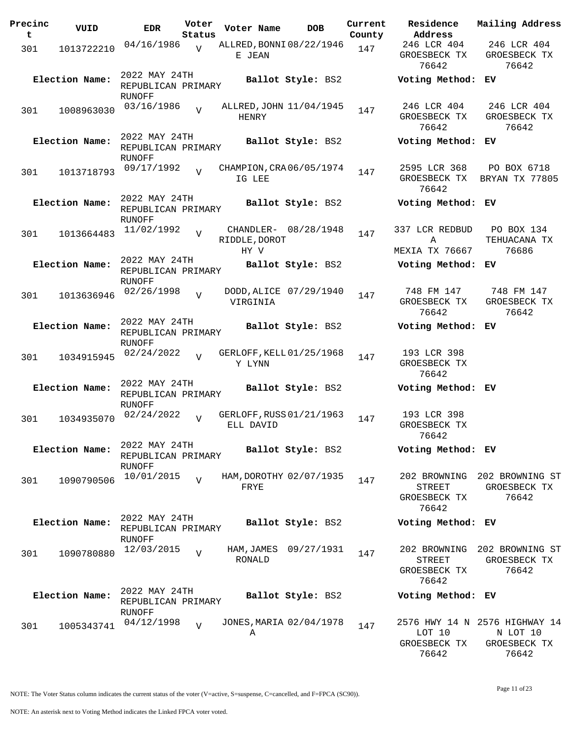| Precinc<br>t | VUID           | <b>EDR</b>                                           | Voter<br>Status | Voter Name                            | <b>DOB</b>              | Current<br>County | Residence<br>Address                  | Mailing Address                                                    |
|--------------|----------------|------------------------------------------------------|-----------------|---------------------------------------|-------------------------|-------------------|---------------------------------------|--------------------------------------------------------------------|
| 301          | 1013722210     | 04/16/1986                                           | $\overline{V}$  | ALLRED, BONNI 08/22/1946<br>E JEAN    |                         | 147               | 246 LCR 404<br>GROESBECK TX<br>76642  | 246 LCR 404<br>GROESBECK TX<br>76642                               |
|              | Election Name: | 2022 MAY 24TH<br>REPUBLICAN PRIMARY<br>RUNOFF        |                 |                                       | Ballot Style: BS2       |                   | Voting Method: EV                     |                                                                    |
| 301          | 1008963030     | 03/16/1986                                           | $\overline{v}$  | HENRY                                 | ALLRED, JOHN 11/04/1945 | 147               | 246 LCR 404<br>GROESBECK TX<br>76642  | 246 LCR 404<br>GROESBECK TX<br>76642                               |
|              | Election Name: | 2022 MAY 24TH<br>REPUBLICAN PRIMARY<br>RUNOFF        |                 |                                       | Ballot Style: BS2       |                   | Voting Method: EV                     |                                                                    |
| 301          | 1013718793     | 09/17/1992                                           | $\overline{U}$  | CHAMPION, CRA 06/05/1974<br>IG LEE    |                         | 147               | 2595 LCR 368<br>GROESBECK TX<br>76642 | PO BOX 6718<br>BRYAN TX 77805                                      |
|              | Election Name: | 2022 MAY 24TH<br>REPUBLICAN PRIMARY<br>RUNOFF        |                 |                                       | Ballot Style: BS2       |                   | Voting Method: EV                     |                                                                    |
| 301          | 1013664483     | 11/02/1992                                           | $\overline{v}$  | RIDDLE, DOROT<br>HY V                 | CHANDLER- 08/28/1948    | 147               | 337 LCR REDBUD<br>Α<br>MEXIA TX 76667 | PO BOX 134<br>TEHUACANA TX<br>76686                                |
|              | Election Name: | 2022 MAY 24TH<br>REPUBLICAN PRIMARY<br><b>RUNOFF</b> |                 |                                       | Ballot Style: BS2       |                   | Voting Method: EV                     |                                                                    |
| 301          | 1013636946     | 02/26/1998                                           | $\overline{U}$  | VIRGINIA                              | DODD, ALICE 07/29/1940  | 147               | 748 FM 147<br>GROESBECK TX<br>76642   | 748 FM 147<br>GROESBECK TX<br>76642                                |
|              | Election Name: | 2022 MAY 24TH<br>REPUBLICAN PRIMARY<br>RUNOFF        |                 |                                       | Ballot Style: BS2       |                   | Voting Method: EV                     |                                                                    |
| 301          | 1034915945     | 02/24/2022                                           | $\overline{V}$  | GERLOFF, KELL 01/25/1968<br>Y LYNN    |                         | 147               | 193 LCR 398<br>GROESBECK TX<br>76642  |                                                                    |
|              | Election Name: | 2022 MAY 24TH<br>REPUBLICAN PRIMARY<br><b>RUNOFF</b> |                 |                                       | Ballot Style: BS2       |                   | Voting Method: EV                     |                                                                    |
| 301          | 1034935070     | 02/24/2022                                           | $\overline{U}$  | GERLOFF, RUSS 01/21/1963<br>ELL DAVID |                         | 147               | 193 LCR 398<br>GROESBECK TX<br>76642  |                                                                    |
|              | Election Name: | 2022 MAY 24TH<br>REPUBLICAN PRIMARY<br>RUNOFF        |                 |                                       | Ballot Style: BS2       |                   | Voting Method: EV                     |                                                                    |
| 301          | 1090790506     | 10/01/2015                                           | $\overline{U}$  | FRYE                                  | HAM, DOROTHY 02/07/1935 | 147               | STREET<br>GROESBECK TX<br>76642       | 202 BROWNING 202 BROWNING ST<br>GROESBECK TX<br>76642              |
|              | Election Name: | 2022 MAY 24TH<br>REPUBLICAN PRIMARY<br><b>RUNOFF</b> |                 |                                       | Ballot Style: BS2       |                   | Voting Method: EV                     |                                                                    |
| 301          | 1090780880     | 12/03/2015                                           | $\overline{v}$  | RONALD                                | HAM, JAMES 09/27/1931   | 147               | STREET<br>GROESBECK TX<br>76642       | 202 BROWNING 202 BROWNING ST<br>GROESBECK TX<br>76642              |
|              | Election Name: | 2022 MAY 24TH<br>REPUBLICAN PRIMARY<br>RUNOFF        |                 |                                       | Ballot Style: BS2       |                   | Voting Method: EV                     |                                                                    |
| 301          | 1005343741     | 04/12/1998                                           | $\overline{V}$  | Α                                     | JONES, MARIA 02/04/1978 | 147               | LOT 10<br>GROESBECK TX<br>76642       | 2576 HWY 14 N 2576 HIGHWAY 14<br>N LOT 10<br>GROESBECK TX<br>76642 |

NOTE: The Voter Status column indicates the current status of the voter (V=active, S=suspense, C=cancelled, and F=FPCA (SC90)).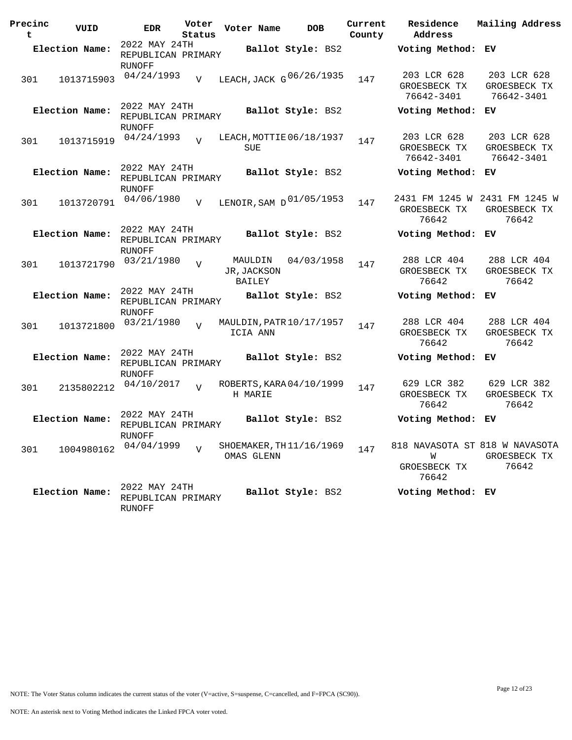| Precinc<br>t | VUID           | <b>EDR</b>                                           | Voter<br>Status | Voter Name                       | <b>DOB</b>               | Current<br>County | Residence<br>Address                                         | Mailing Address                           |
|--------------|----------------|------------------------------------------------------|-----------------|----------------------------------|--------------------------|-------------------|--------------------------------------------------------------|-------------------------------------------|
|              | Election Name: | 2022 MAY 24TH<br>REPUBLICAN PRIMARY                  |                 |                                  | Ballot Style: BS2        |                   | Voting Method: EV                                            |                                           |
| 301          | 1013715903     | RUNOFF<br>04/24/1993                                 | $\overline{V}$  |                                  | LEACH, JACK G 06/26/1935 | 147               | 203 LCR 628<br>GROESBECK TX<br>76642-3401                    | 203 LCR 628<br>GROESBECK TX<br>76642-3401 |
|              | Election Name: | 2022 MAY 24TH<br>REPUBLICAN PRIMARY<br>RUNOFF        |                 |                                  | Ballot Style: BS2        |                   | Voting Method: EV                                            |                                           |
| 301          | 1013715919     | 04/24/1993                                           | $\overline{U}$  | <b>SUE</b>                       | LEACH, MOTTIE 06/18/1937 | 147               | 203 LCR 628<br>GROESBECK TX<br>76642-3401                    | 203 LCR 628<br>GROESBECK TX<br>76642-3401 |
|              | Election Name: | 2022 MAY 24TH<br>REPUBLICAN PRIMARY<br>RUNOFF        |                 |                                  | Ballot Style: BS2        |                   | Voting Method: EV                                            |                                           |
| 301          | 1013720791     | 04/06/1980                                           | V               |                                  | LENOIR, SAM D 01/05/1953 | 147               | 2431 FM 1245 W 2431 FM 1245 W<br>GROESBECK TX<br>76642       | GROESBECK TX<br>76642                     |
|              | Election Name: | 2022 MAY 24TH<br>REPUBLICAN PRIMARY<br>RUNOFF        |                 |                                  | Ballot Style: BS2        |                   | Voting Method:                                               | ЕV                                        |
| 301          | 1013721790     | 03/21/1980                                           | $\overline{v}$  | MAULDIN<br>JR, JACKSON<br>BAILEY | 04/03/1958               | 147               | 288 LCR 404<br>GROESBECK TX<br>76642                         | 288 LCR 404<br>GROESBECK TX<br>76642      |
|              | Election Name: | 2022 MAY 24TH<br>REPUBLICAN PRIMARY<br><b>RUNOFF</b> |                 |                                  | Ballot Style: BS2        |                   | Voting Method:                                               | EV.                                       |
| 301          | 1013721800     | 03/21/1980                                           | $\overline{U}$  | ICIA ANN                         | MAULDIN, PATR 10/17/1957 | 147               | 288 LCR 404<br>GROESBECK TX<br>76642                         | 288 LCR 404<br>GROESBECK TX<br>76642      |
|              | Election Name: | 2022 MAY 24TH<br>REPUBLICAN PRIMARY<br>RUNOFF        |                 |                                  | Ballot Style: BS2        |                   | Voting Method:                                               | ЕV                                        |
| 301          | 2135802212     | 04/10/2017                                           | $\overline{U}$  | H MARIE                          | ROBERTS, KARA 04/10/1999 | 147               | 629 LCR 382<br>GROESBECK TX<br>76642                         | 629 LCR 382<br>GROESBECK TX<br>76642      |
|              | Election Name: | 2022 MAY 24TH<br>REPUBLICAN PRIMARY<br>RUNOFF        |                 |                                  | Ballot Style: BS2        |                   | Voting Method:                                               | ЕV                                        |
| 301          | 1004980162     | 04/04/1999                                           | $\overline{v}$  | OMAS GLENN                       | SHOEMAKER, TH 11/16/1969 | 147               | 818 NAVASOTA ST 818 W NAVASOTA<br>W<br>GROESBECK TX<br>76642 | GROESBECK TX<br>76642                     |
|              | Election Name: | 2022 MAY 24TH<br>REPUBLICAN PRIMARY<br>RUNOFF        |                 |                                  | Ballot Style: BS2        |                   | Voting Method: EV                                            |                                           |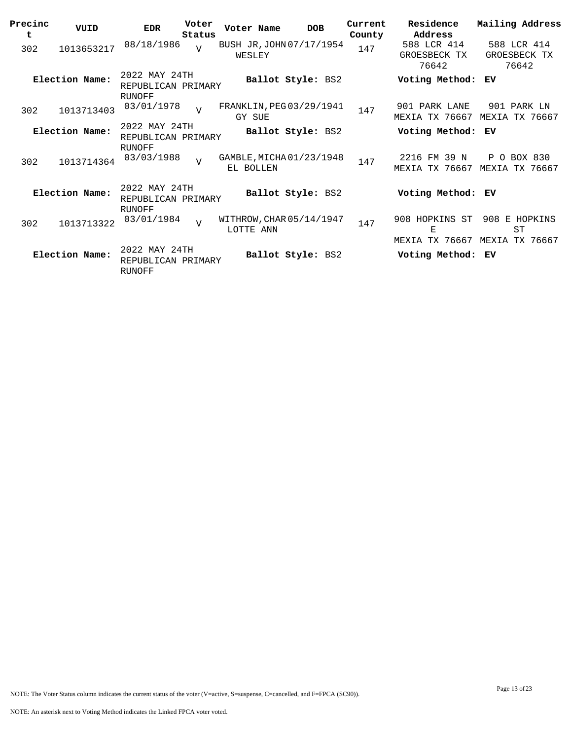| Precinc<br>t | VUID           | <b>EDR</b>                                    | Voter<br>Status | Voter Name                            | <b>DOB</b>        | Current<br>County | Residence<br>Address                                   | Mailing Address                                 |
|--------------|----------------|-----------------------------------------------|-----------------|---------------------------------------|-------------------|-------------------|--------------------------------------------------------|-------------------------------------------------|
| 302          | 1013653217     | 08/18/1986                                    | $\overline{U}$  | BUSH JR, JOHN 07/17/1954<br>WESLEY    |                   | 147               | 588 LCR 414<br>GROESBECK TX<br>76642                   | 588 LCR 414<br>GROESBECK TX<br>76642            |
|              | Election Name: | 2022 MAY 24TH<br>REPUBLICAN PRIMARY<br>RUNOFF |                 |                                       | Ballot Style: BS2 |                   | Voting Method:                                         | ЕV                                              |
| 302          | 1013713403     | 03/01/1978                                    | $\overline{v}$  | FRANKLIN, PEG03/29/1941<br>GY SUE     |                   | 147               | 901 PARK LANE<br><b>MEXIA TX 76667</b>                 | 901 PARK LN<br>MEXIA<br>TX 76667                |
|              | Election Name: | 2022 MAY 24TH<br>REPUBLICAN PRIMARY           |                 |                                       | Ballot Style: BS2 |                   | Voting Method:                                         | ЕV                                              |
| 302          | 1013714364     | <b>RUNOFF</b><br>03/03/1988                   | $\overline{U}$  | GAMBLE, MICHA 01/23/1948<br>EL BOLLEN |                   | 147               | FM 39 N<br>2216<br>TX 76667<br>MEXIA                   | BOX 830<br>P<br>$\Omega$<br>TX 76667<br>MEXIA   |
|              | Election Name: | 2022 MAY 24TH<br>REPUBLICAN PRIMARY<br>RUNOFF |                 |                                       | Ballot Style: BS2 |                   | Voting Method:                                         | ЕV                                              |
| 302          | 1013713322     | 03/01/1984                                    | $\overline{U}$  | WITHROW, CHAR 05/14/1947<br>LOTTE ANN |                   | 147               | 908 HOPKINS ST<br>$\mathbf{E}% _{T}$<br>MEXIA TX 76667 | 908 E HOPKINS<br><b>ST</b><br>TX 76667<br>MEXIA |
|              | Election Name: | 2022 MAY 24TH<br>REPUBLICAN PRIMARY<br>RUNOFF |                 |                                       | Ballot Style: BS2 |                   | Voting Method:                                         | ЕV                                              |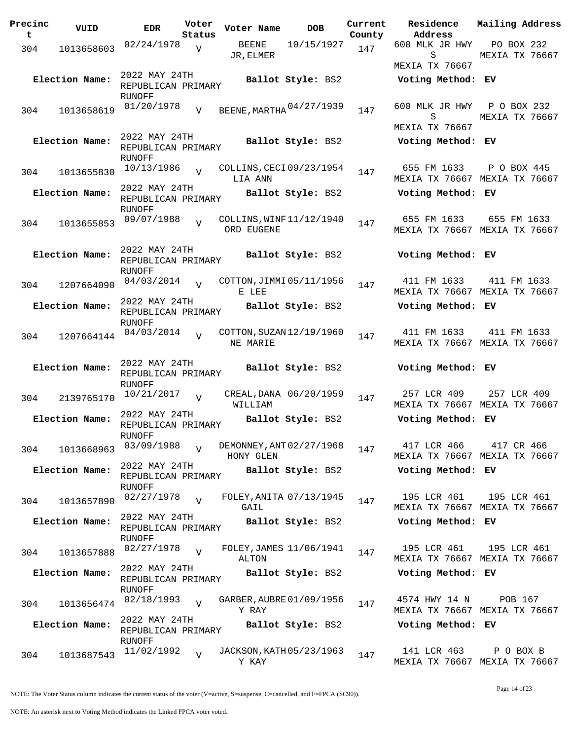| Precinc<br>t | VUID           | <b>EDR</b>                                           | Voter<br>Status | Voter Name                             | <b>DOB</b>              | Current<br>County | <b>Residence</b><br>Address           | Mailing Address                              |
|--------------|----------------|------------------------------------------------------|-----------------|----------------------------------------|-------------------------|-------------------|---------------------------------------|----------------------------------------------|
| 304          | 1013658603     | 02/24/1978                                           | $\overline{V}$  | BEENE<br>JR, ELMER                     | 10/15/1927              | 147               | 600 MLK JR HWY<br>S<br>MEXIA TX 76667 | PO BOX 232<br>MEXIA TX 76667                 |
|              | Election Name: | 2022 MAY 24TH<br>REPUBLICAN PRIMARY                  |                 |                                        | Ballot Style: BS2       |                   | Voting Method: EV                     |                                              |
| 304          | 1013658619     | RUNOFF<br>01/20/1978                                 | V               | BEENE, MARTHA 04/27/1939               |                         | 147               | 600 MLK JR HWY<br>S<br>MEXIA TX 76667 | P O BOX 232<br>MEXIA TX 76667                |
|              | Election Name: | 2022 MAY 24TH<br>REPUBLICAN PRIMARY<br>RUNOFF        |                 |                                        | Ballot Style: BS2       |                   | Voting Method: EV                     |                                              |
| 304          | 1013655830     | 10/13/1986                                           | $\overline{V}$  | COLLINS, CECI 09/23/1954<br>LIA ANN    |                         | 147               | 655 FM 1633                           | P O BOX 445<br>MEXIA TX 76667 MEXIA TX 76667 |
|              | Election Name: | 2022 MAY 24TH<br>REPUBLICAN PRIMARY<br><b>RUNOFF</b> |                 |                                        | Ballot Style: BS2       |                   | Voting Method: EV                     |                                              |
| 304          | 1013655853     | 09/07/1988                                           | $\overline{U}$  | COLLINS, WINF 11/12/1940<br>ORD EUGENE |                         | 147               | 655 FM 1633                           | 655 FM 1633<br>MEXIA TX 76667 MEXIA TX 76667 |
|              | Election Name: | 2022 MAY 24TH<br>REPUBLICAN PRIMARY<br>RUNOFF        |                 |                                        | Ballot Style: BS2       |                   | Voting Method: EV                     |                                              |
| 304          | 1207664090     | 04/03/2014                                           | $\overline{V}$  | COTTON, JIMMI 05/11/1956<br>E LEE      |                         | 147               | 411 FM 1633                           | 411 FM 1633<br>MEXIA TX 76667 MEXIA TX 76667 |
|              | Election Name: | 2022 MAY 24TH<br>REPUBLICAN PRIMARY<br><b>RUNOFF</b> |                 |                                        | Ballot Style: BS2       |                   | Voting Method: EV                     |                                              |
| 304          | 1207664144     | 04/03/2014                                           | $\overline{v}$  | COTTON, SUZAN 12/19/1960<br>NE MARIE   |                         | 147               | 411 FM 1633                           | 411 FM 1633<br>MEXIA TX 76667 MEXIA TX 76667 |
|              | Election Name: | 2022 MAY 24TH<br>REPUBLICAN PRIMARY<br><b>RUNOFF</b> |                 |                                        | Ballot Style: BS2       |                   | Voting Method: EV                     |                                              |
| 304          | 2139765170     | 10/21/2017                                           | $\overline{V}$  | WILLIAM                                | CREAL, DANA 06/20/1959  | 147               | 257 LCR 409                           | 257 LCR 409<br>MEXIA TX 76667 MEXIA TX 76667 |
|              | Election Name: | 2022 MAY 24TH<br>REPUBLICAN PRIMARY<br><b>RUNOFF</b> |                 |                                        | Ballot Style: BS2       |                   | Voting Method: EV                     |                                              |
| 304          | 1013668963     | 03/09/1988                                           | $\overline{V}$  | DEMONNEY, ANT 02/27/1968<br>HONY GLEN  |                         | 147               | 417 LCR 466                           | 417 CR 466<br>MEXIA TX 76667 MEXIA TX 76667  |
|              | Election Name: | 2022 MAY 24TH<br>REPUBLICAN PRIMARY<br>RUNOFF        |                 |                                        | Ballot Style: BS2       |                   | Voting Method: EV                     |                                              |
| 304          | 1013657890     | 02/27/1978                                           | $\overline{U}$  | FOLEY, ANITA 07/13/1945<br>GAIL        |                         | 147               | 195 LCR 461                           | 195 LCR 461<br>MEXIA TX 76667 MEXIA TX 76667 |
|              | Election Name: | 2022 MAY 24TH<br>REPUBLICAN PRIMARY<br><b>RUNOFF</b> |                 |                                        | Ballot Style: BS2       |                   | Voting Method: EV                     |                                              |
| 304          | 1013657888     | 02/27/1978                                           | $\overline{V}$  | ALTON                                  | FOLEY, JAMES 11/06/1941 | 147               | 195 LCR 461                           | 195 LCR 461<br>MEXIA TX 76667 MEXIA TX 76667 |
|              | Election Name: | 2022 MAY 24TH<br>REPUBLICAN PRIMARY<br>RUNOFF        |                 |                                        | Ballot Style: BS2       |                   | Voting Method: EV                     |                                              |
| 304          | 1013656474     | 02/18/1993                                           | V               | GARBER, AUBRE 01/09/1956<br>Y RAY      |                         | 147               | 4574 HWY 14 N                         | POB 167<br>MEXIA TX 76667 MEXIA TX 76667     |
|              | Election Name: | 2022 MAY 24TH<br>REPUBLICAN PRIMARY<br>RUNOFF        |                 |                                        | Ballot Style: BS2       |                   | Voting Method: EV                     |                                              |
| 304          | 1013687543     | 11/02/1992                                           | V               | JACKSON, KATH 05/23/1963<br>Y KAY      |                         | 147               | 141 LCR 463                           | P O BOX B<br>MEXIA TX 76667 MEXIA TX 76667   |

Page 14 of 23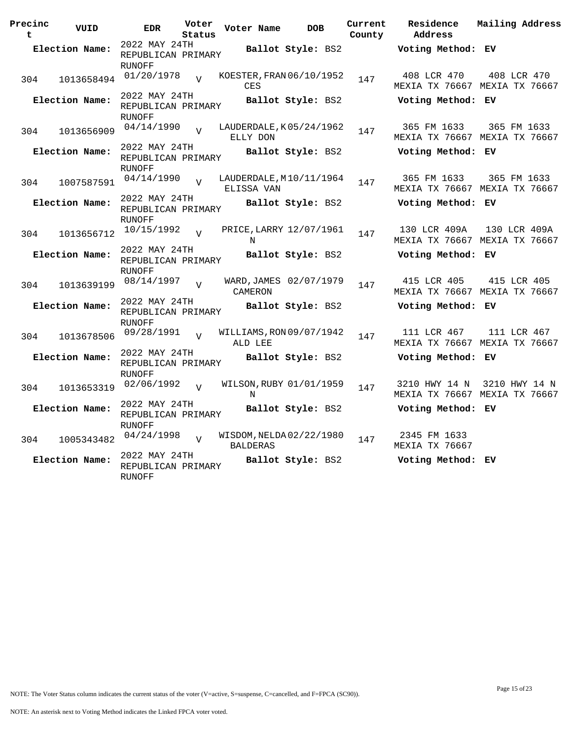| Precinc<br>$\mathbf t$ | VUID           | <b>EDR</b>                                           | Voter<br>Status | Voter Name      | <b>DOB</b>               | Current<br>County | Residence<br>Address                  | Mailing Address                                |
|------------------------|----------------|------------------------------------------------------|-----------------|-----------------|--------------------------|-------------------|---------------------------------------|------------------------------------------------|
|                        | Election Name: | 2022 MAY 24TH<br>REPUBLICAN PRIMARY                  |                 |                 | Ballot Style: BS2        |                   | Voting Method: EV                     |                                                |
| 304                    | 1013658494     | <b>RUNOFF</b><br>01/20/1978                          | $\overline{U}$  | CES             | KOESTER, FRAN 06/10/1952 | 147               | 408 LCR 470                           | 408 LCR 470<br>MEXIA TX 76667 MEXIA TX 76667   |
|                        | Election Name: | 2022 MAY 24TH<br>REPUBLICAN PRIMARY<br><b>RUNOFF</b> |                 |                 | Ballot Style: BS2        |                   | Voting Method: EV                     |                                                |
| 304                    |                | 1013656909 04/14/1990                                | $\overline{v}$  | ELLY DON        | LAUDERDALE, K05/24/1962  | 147               | 365 FM 1633                           | 365 FM 1633<br>MEXIA TX 76667 MEXIA TX 76667   |
|                        | Election Name: | 2022 MAY 24TH<br>REPUBLICAN PRIMARY<br><b>RUNOFF</b> |                 |                 | Ballot Style: BS2        |                   | Voting Method: EV                     |                                                |
| 304                    | 1007587591     | 04/14/1990                                           | $\overline{z}$  | ELISSA VAN      | LAUDERDALE, M10/11/1964  | 147               | 365 FM 1633                           | 365 FM 1633<br>MEXIA TX 76667 MEXIA TX 76667   |
|                        | Election Name: | 2022 MAY 24TH<br>REPUBLICAN PRIMARY<br>RUNOFF        |                 |                 | Ballot Style: BS2        |                   | Voting Method: EV                     |                                                |
| 304                    | 1013656712     | 10/15/1992                                           | $\overline{V}$  | N               | PRICE, LARRY 12/07/1961  | 147               | 130 LCR 409A                          | 130 LCR 409A<br>MEXIA TX 76667 MEXIA TX 76667  |
|                        | Election Name: | 2022 MAY 24TH<br>REPUBLICAN PRIMARY<br><b>RUNOFF</b> |                 |                 | Ballot Style: BS2        |                   | Voting Method: EV                     |                                                |
| 304                    | 1013639199     | 08/14/1997 <sub>V</sub>                              |                 | CAMERON         | WARD, JAMES 02/07/1979   | 147               | 415 LCR 405                           | 415 LCR 405<br>MEXIA TX 76667 MEXIA TX 76667   |
|                        | Election Name: | 2022 MAY 24TH<br>REPUBLICAN PRIMARY<br><b>RUNOFF</b> |                 |                 | Ballot Style: BS2        |                   | Voting Method: EV                     |                                                |
| 304                    | 1013678506     | 09/28/1991                                           | $\overline{U}$  | ALD LEE         | WILLIAMS, RON 09/07/1942 | 147               | 111 LCR 467                           | 111 LCR 467<br>MEXIA TX 76667 MEXIA TX 76667   |
|                        | Election Name: | 2022 MAY 24TH<br>REPUBLICAN PRIMARY<br><b>RUNOFF</b> |                 |                 | Ballot Style: BS2        |                   | Voting Method: EV                     |                                                |
| 304                    |                | 1013653319 02/06/1992 v                              |                 | N               | WILSON, RUBY 01/01/1959  | 147               | 3210 HWY 14 N                         | 3210 HWY 14 N<br>MEXIA TX 76667 MEXIA TX 76667 |
|                        | Election Name: | 2022 MAY 24TH<br>REPUBLICAN PRIMARY<br>RUNOFF        |                 |                 | Ballot Style: BS2        |                   | Voting Method: EV                     |                                                |
| 304                    |                | 1005343482 04/24/1998                                | $\overline{V}$  | <b>BALDERAS</b> | WISDOM, NELDA 02/22/1980 | 147               | 2345 FM 1633<br><b>MEXIA TX 76667</b> |                                                |
|                        | Election Name: | 2022 MAY 24TH<br>REPUBLICAN PRIMARY<br><b>RUNOFF</b> |                 |                 | Ballot Style: BS2        |                   | Voting Method: EV                     |                                                |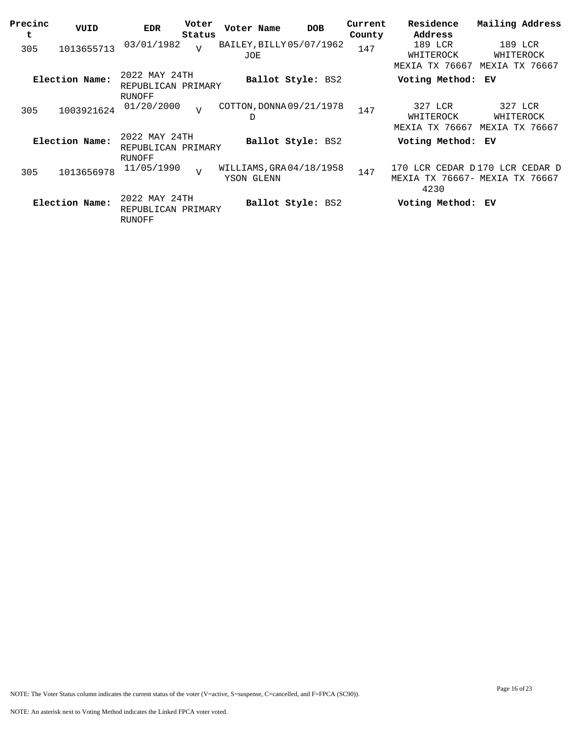| Precinc<br>t | VUID           | <b>EDR</b>                                    | Voter<br>Status | Voter Name                            | <b>DOB</b>        | Current<br>County | Residence<br>Address                          | Mailing Address                        |
|--------------|----------------|-----------------------------------------------|-----------------|---------------------------------------|-------------------|-------------------|-----------------------------------------------|----------------------------------------|
| 305          | 1013655713     | 03/01/1982                                    | $\overline{V}$  | BAILEY, BILLY 05/07/1962<br>JOE       |                   | 147               | 189 LCR<br>WHITEROCK<br>MEXIA TX 76667        | 189 LCR<br>WHITEROCK<br>MEXIA TX 76667 |
|              | Election Name: | 2022 MAY 24TH<br>REPUBLICAN PRIMARY<br>RUNOFF |                 |                                       | Ballot Style: BS2 |                   | Voting Method: EV                             |                                        |
| 305          | 1003921624     | 01/20/2000                                    | $\overline{U}$  | COTTON, DONNA 09/21/1978<br>D         |                   | 147               | 327 LCR<br>WHITEROCK<br>MEXIA TX 76667        | 327 LCR<br>WHITEROCK<br>MEXIA TX 76667 |
|              | Election Name: | 2022 MAY 24TH<br>REPUBLICAN PRIMARY<br>RUNOFF |                 |                                       | Ballot Style: BS2 |                   | Voting Method: EV                             |                                        |
| 305          | 1013656978     | 11/05/1990                                    | $\overline{V}$  | WILLIAMS, GRA04/18/1958<br>YSON GLENN |                   | 147               | 170<br>MEXIA TX 76667- MEXIA TX 76667<br>4230 | LCR CEDAR D170 LCR CEDAR D             |
|              | Election Name: | 2022 MAY 24TH<br>REPUBLICAN PRIMARY<br>RUNOFF |                 |                                       | Ballot Style: BS2 |                   | Voting Method: EV                             |                                        |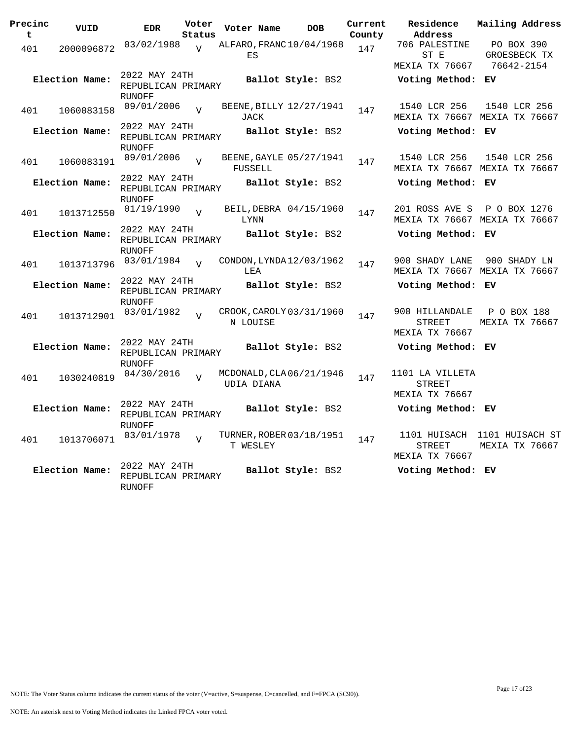| Precinc<br>t | VUID           | <b>EDR</b>                                           | Voter<br>Status | Voter Name | <b>DOB</b>               | Current<br>County | Residence<br>Address                            | Mailing Address                               |
|--------------|----------------|------------------------------------------------------|-----------------|------------|--------------------------|-------------------|-------------------------------------------------|-----------------------------------------------|
| 401          | 2000096872     | 03/02/1988                                           | $\overline{U}$  | ES         | ALFARO, FRANC 10/04/1968 | 147               | 706 PALESTINE<br>ST E<br>MEXIA TX 76667         | PO BOX 390<br>GROESBECK TX<br>76642-2154      |
|              | Election Name: | 2022 MAY 24TH<br>REPUBLICAN PRIMARY<br><b>RUNOFF</b> |                 |            | Ballot Style: BS2        |                   | Voting Method: EV                               |                                               |
| 401          | 1060083158     | 09/01/2006                                           | $\overline{U}$  | JACK       | BEENE, BILLY 12/27/1941  | 147               | 1540 LCR 256                                    | 1540 LCR 256<br>MEXIA TX 76667 MEXIA TX 76667 |
|              | Election Name: | 2022 MAY 24TH<br>REPUBLICAN PRIMARY<br><b>RUNOFF</b> |                 |            | Ballot Style: BS2        |                   | Voting Method: EV                               |                                               |
| 401          | 1060083191     | 09/01/2006                                           | $\overline{U}$  | FUSSELL    | BEENE, GAYLE 05/27/1941  | 147               | 1540 LCR 256                                    | 1540 LCR 256<br>MEXIA TX 76667 MEXIA TX 76667 |
|              | Election Name: | 2022 MAY 24TH<br>REPUBLICAN PRIMARY<br><b>RUNOFF</b> |                 |            | Ballot Style: BS2        |                   | Voting Method: EV                               |                                               |
| 401          | 1013712550     | 01/19/1990                                           | $\overline{U}$  | LYNN       | BEIL, DEBRA 04/15/1960   | 147               | 201 ROSS AVE S                                  | P O BOX 1276<br>MEXIA TX 76667 MEXIA TX 76667 |
|              | Election Name: | 2022 MAY 24TH<br>REPUBLICAN PRIMARY<br><b>RUNOFF</b> |                 |            | Ballot Style: BS2        |                   | Voting Method: EV                               |                                               |
| 401          | 1013713796     | 03/01/1984                                           | $\overline{U}$  | LEA        | CONDON, LYNDA12/03/1962  | 147               | 900 SHADY LANE<br>MEXIA TX 76667 MEXIA TX 76667 | 900 SHADY LN                                  |
|              | Election Name: | 2022 MAY 24TH<br>REPUBLICAN PRIMARY<br>RUNOFF        |                 |            | Ballot Style: BS2        |                   | Voting Method: EV                               |                                               |
| 401          | 1013712901     | 03/01/1982                                           | $\overline{U}$  | N LOUISE   | CROOK, CAROLY 03/31/1960 | 147               | 900 HILLANDALE<br>STREET<br>MEXIA TX 76667      | P O BOX 188<br>MEXIA TX 76667                 |
|              | Election Name: | 2022 MAY 24TH<br>REPUBLICAN PRIMARY<br><b>RUNOFF</b> |                 |            | Ballot Style: BS2        |                   | Voting Method: EV                               |                                               |
| 401          | 1030240819     | 04/30/2016                                           | $\overline{z}$  | UDIA DIANA | MCDONALD, CLA 06/21/1946 | 147               | 1101 LA VILLETA<br>STREET<br>MEXIA TX 76667     |                                               |
|              | Election Name: | 2022 MAY 24TH<br>REPUBLICAN PRIMARY<br><b>RUNOFF</b> |                 |            | <b>Ballot Style: BS2</b> |                   | Voting Method: EV                               |                                               |
| 401          | 1013706071     | 03/01/1978                                           | $\overline{V}$  | T WESLEY   | TURNER, ROBER 03/18/1951 | 147               | 1101 HUISACH<br>STREET<br>MEXIA TX 76667        | 1101 HUISACH ST<br>MEXIA TX 76667             |
|              | Election Name: | 2022 MAY 24TH<br>REPUBLICAN PRIMARY<br><b>RUNOFF</b> |                 |            | Ballot Style: BS2        |                   | Voting Method: EV                               |                                               |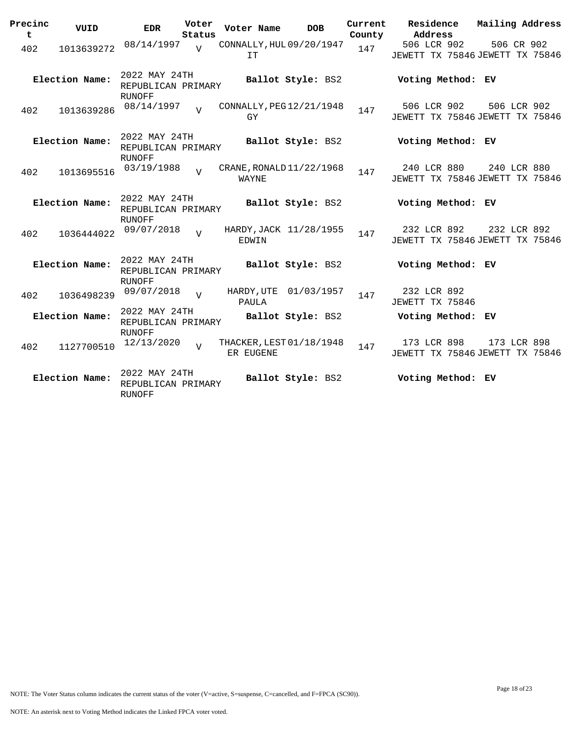| Precinc<br>t | VUID           | <b>EDR</b>                                           | Voter<br>Status | Voter Name                            |                   | <b>DOB</b> | Current<br>County | <b>Residence</b><br>Address                    | Mailing Address |  |
|--------------|----------------|------------------------------------------------------|-----------------|---------------------------------------|-------------------|------------|-------------------|------------------------------------------------|-----------------|--|
| 402          | 1013639272     | 08/14/1997                                           | $\overline{V}$  | CONNALLY, HUL 09/20/1947<br>IT        |                   |            | 147               | 506 LCR 902<br>JEWETT TX 75846 JEWETT TX 75846 | 506 CR 902      |  |
|              | Election Name: | 2022 MAY 24TH<br>REPUBLICAN PRIMARY<br><b>RUNOFF</b> |                 |                                       | Ballot Style: BS2 |            |                   | Voting Method: EV                              |                 |  |
| 402          | 1013639286     | 08/14/1997                                           | $\overline{z}$  | CONNALLY, PEG12/21/1948<br>GY         |                   |            | 147               | 506 LCR 902<br>JEWETT TX 75846 JEWETT TX 75846 | 506 LCR 902     |  |
|              | Election Name: | 2022 MAY 24TH<br>REPUBLICAN PRIMARY<br><b>RUNOFF</b> |                 |                                       | Ballot Style: BS2 |            |                   | Voting Method: EV                              |                 |  |
| 402          | 1013695516     | 03/19/1988                                           | $\overline{U}$  | CRANE, RONALD 11/22/1968<br>WAYNE     |                   |            | 147               | 240 LCR 880<br>JEWETT TX 75846 JEWETT TX 75846 | 240 LCR 880     |  |
|              | Election Name: | 2022 MAY 24TH<br>REPUBLICAN PRIMARY<br>RUNOFF        |                 |                                       | Ballot Style: BS2 |            |                   | Voting Method: EV                              |                 |  |
| 402          | 1036444022     | 09/07/2018                                           | $\overline{V}$  | HARDY, JACK 11/28/1955<br>EDWIN       |                   |            | 147               | 232 LCR 892<br>JEWETT TX 75846 JEWETT TX 75846 | 232 LCR 892     |  |
|              | Election Name: | 2022 MAY 24TH<br>REPUBLICAN PRIMARY<br><b>RUNOFF</b> |                 |                                       | Ballot Style: BS2 |            |                   | Voting Method: EV                              |                 |  |
| 402          | 1036498239     | 09/07/2018                                           | $\overline{v}$  | HARDY, UTE<br>PAULA                   |                   | 01/03/1957 | 147               | 232 LCR 892<br>JEWETT TX 75846                 |                 |  |
|              | Election Name: | 2022 MAY 24TH<br>REPUBLICAN PRIMARY<br><b>RUNOFF</b> |                 |                                       | Ballot Style: BS2 |            |                   | Voting Method: EV                              |                 |  |
| 402          | 1127700510     | 12/13/2020                                           | $\overline{U}$  | THACKER, LEST 01/18/1948<br>ER EUGENE |                   |            | 147               | 173 LCR 898<br>JEWETT TX 75846 JEWETT TX 75846 | 173 LCR 898     |  |
|              | Election Name: | 2022 MAY 24TH<br>REPUBLICAN PRIMARY<br>RUNOFF        |                 |                                       | Ballot Style: BS2 |            |                   | Voting Method: EV                              |                 |  |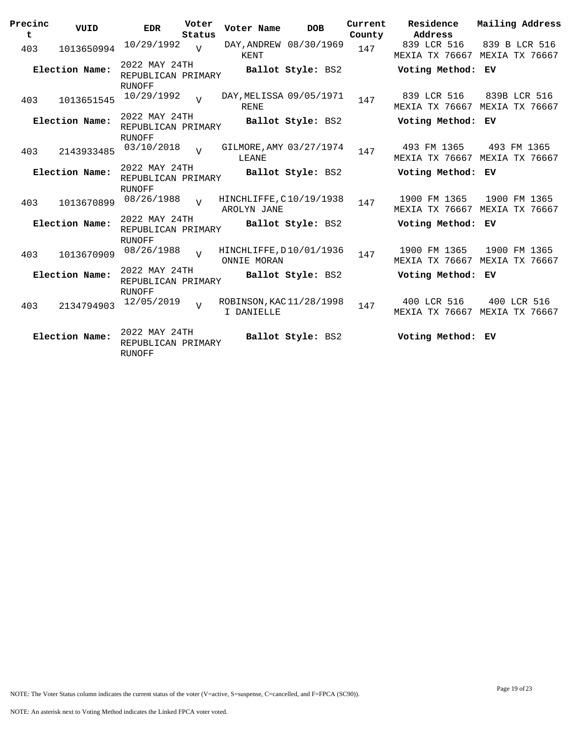| Precinc<br>t | VUID           | <b>EDR</b>                                           | Voter<br>Status | Voter Name                             | <b>DOB</b>        | Current<br>County | Residence<br>Address                 | Mailing Address                                |
|--------------|----------------|------------------------------------------------------|-----------------|----------------------------------------|-------------------|-------------------|--------------------------------------|------------------------------------------------|
| 403          | 1013650994     | 10/29/1992                                           | $\overline{U}$  | DAY, ANDREW 08/30/1969<br>KENT         |                   | 147               | 839 LCR 516                          | 839 B LCR 516<br>MEXIA TX 76667 MEXIA TX 76667 |
|              | Election Name: | 2022 MAY 24TH<br>REPUBLICAN PRIMARY<br>RUNOFF        |                 |                                        | Ballot Style: BS2 |                   | Voting Method: EV                    |                                                |
| 403          | 1013651545     | 10/29/1992                                           | $\overline{U}$  | DAY, MELISSA 09/05/1971<br><b>RENE</b> |                   | 147               | 839 LCR 516<br>MEXIA TX 76667        | 839B LCR 516<br>MEXIA TX 76667                 |
|              | Election Name: | 2022 MAY 24TH<br>REPUBLICAN PRIMARY<br>RUNOFF        |                 |                                        | Ballot Style: BS2 |                   | Voting Method: EV                    |                                                |
| 403          | 2143933485     | 03/10/2018                                           | $\overline{V}$  | GILMORE, AMY 03/27/1974<br>LEANE       |                   | 147               | 493 FM 1365<br>MEXIA TX 76667        | 493 FM 1365<br>MEXIA TX 76667                  |
|              | Election Name: | 2022 MAY 24TH<br>REPUBLICAN PRIMARY<br>RUNOFF        |                 |                                        | Ballot Style: BS2 |                   | Voting Method: EV                    |                                                |
| 403          | 1013670899     | 08/26/1988                                           | $\overline{v}$  | HINCHLIFFE, C10/19/1938<br>AROLYN JANE |                   | 147               | 1900 FM 1365                         | 1900 FM 1365<br>MEXIA TX 76667 MEXIA TX 76667  |
|              | Election Name: | 2022 MAY 24TH<br>REPUBLICAN PRIMARY<br><b>RUNOFF</b> |                 |                                        | Ballot Style: BS2 |                   | Voting Method: EV                    |                                                |
| 403          | 1013670909     | 08/26/1988                                           | $\overline{U}$  | HINCHLIFFE, D10/01/1936<br>ONNIE MORAN |                   | 147               | 1900 FM 1365                         | 1900 FM 1365<br>MEXIA TX 76667 MEXIA TX 76667  |
|              | Election Name: | 2022 MAY 24TH<br>REPUBLICAN PRIMARY<br>RUNOFF        |                 |                                        | Ballot Style: BS2 |                   | Voting Method: EV                    |                                                |
| 403          | 2134794903     | 12/05/2019                                           | $\overline{U}$  | ROBINSON, KAC 11/28/1998<br>I DANIELLE |                   | 147               | 400 LCR 516<br><b>MEXIA TX 76667</b> | 400 LCR 516<br>MEXIA TX 76667                  |
|              | Election Name: | 2022 MAY 24TH<br>REPUBLICAN PRIMARY<br>RUNOFF        |                 |                                        | Ballot Style: BS2 |                   | Voting Method: EV                    |                                                |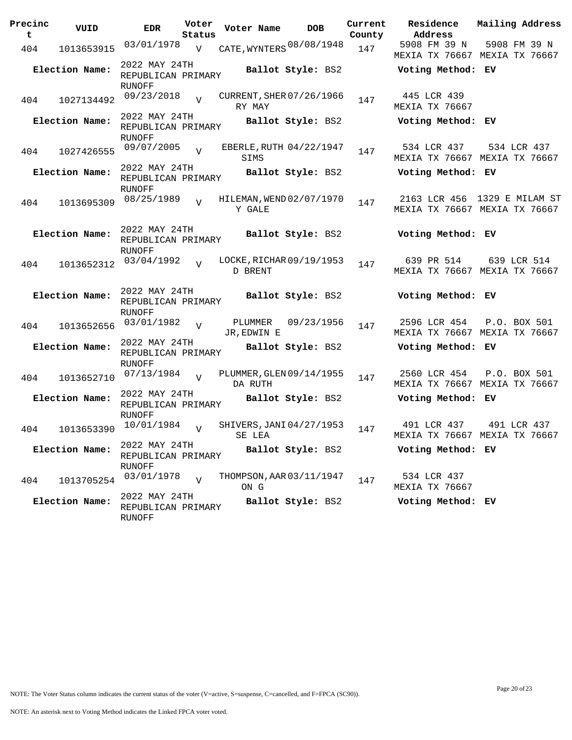| Precinc<br>t | VUID           | <b>EDR</b>                                           | Voter<br>Status | Voter Name             | <b>DOB</b>               | Current<br>County | Residence<br>Address                                          | Mailing Address |  |
|--------------|----------------|------------------------------------------------------|-----------------|------------------------|--------------------------|-------------------|---------------------------------------------------------------|-----------------|--|
| 404          | 1013653915     | 03/01/1978                                           | V               |                        | CATE, WYNTERS 08/08/1948 | 147               | 5908 FM 39 N<br>MEXIA TX 76667 MEXIA TX 76667                 | 5908 FM 39 N    |  |
|              | Election Name: | 2022 MAY 24TH<br>REPUBLICAN PRIMARY                  |                 |                        | Ballot Style: BS2        |                   | Voting Method: EV                                             |                 |  |
| 404          | 1027134492     | RUNOFF<br>09/23/2018                                 | $\overline{U}$  | RY MAY                 | CURRENT, SHER 07/26/1966 | 147               | 445 LCR 439<br>MEXIA TX 76667                                 |                 |  |
|              | Election Name: | 2022 MAY 24TH<br>REPUBLICAN PRIMARY<br>RUNOFF        |                 |                        | Ballot Style: BS2        |                   | Voting Method: EV                                             |                 |  |
| 404          | 1027426555     | 09/07/2005                                           | $\overline{V}$  | SIMS                   | EBERLE, RUTH 04/22/1947  | 147               | 534 LCR 437<br>MEXIA TX 76667 MEXIA TX 76667                  | 534 LCR 437     |  |
|              | Election Name: | 2022 MAY 24TH<br>REPUBLICAN PRIMARY<br><b>RUNOFF</b> |                 |                        | Ballot Style: BS2        |                   | Voting Method: EV                                             |                 |  |
| 404          | 1013695309     | 08/25/1989                                           | $\overline{U}$  | Y GALE                 | HILEMAN, WEND 02/07/1970 | 147               | 2163 LCR 456 1329 E MILAM ST<br>MEXIA TX 76667 MEXIA TX 76667 |                 |  |
|              | Election Name: | 2022 MAY 24TH<br>REPUBLICAN PRIMARY<br>RUNOFF        |                 |                        | Ballot Style: BS2        |                   | Voting Method: EV                                             |                 |  |
| 404          | 1013652312     | 03/04/1992                                           | $\overline{V}$  | D BRENT                | LOCKE, RICHAR 09/19/1953 | 147               | 639 PR 514<br>MEXIA TX 76667 MEXIA TX 76667                   | 639 LCR 514     |  |
|              | Election Name: | 2022 MAY 24TH<br>REPUBLICAN PRIMARY<br><b>RUNOFF</b> |                 |                        | Ballot Style: BS2        |                   | Voting Method: EV                                             |                 |  |
| 404          | 1013652656     | 03/01/1982                                           | $\overline{V}$  | PLUMMER<br>JR, EDWIN E | 09/23/1956               | 147               | 2596 LCR 454<br>MEXIA TX 76667 MEXIA TX 76667                 | P.O. BOX 501    |  |
|              | Election Name: | 2022 MAY 24TH<br>REPUBLICAN PRIMARY<br><b>RUNOFF</b> |                 |                        | Ballot Style: BS2        |                   | Voting Method: EV                                             |                 |  |
| 404          | 1013652710     | 07/13/1984                                           | $\overline{V}$  | DA RUTH                | PLUMMER, GLEN 09/14/1955 | 147               | 2560 LCR 454<br>MEXIA TX 76667 MEXIA TX 76667                 | P.O. BOX 501    |  |
|              | Election Name: | 2022 MAY 24TH<br>REPUBLICAN PRIMARY<br><b>RUNOFF</b> |                 |                        | Ballot Style: BS2        |                   | Voting Method: EV                                             |                 |  |
| 404          | 1013653390     | 10/01/1984                                           | $\overline{v}$  | SE LEA                 | SHIVERS, JANI 04/27/1953 | 147               | 491 LCR 437<br>MEXIA TX 76667 MEXIA TX 76667                  | 491 LCR 437     |  |
|              | Election Name: | 2022 MAY 24TH<br>REPUBLICAN PRIMARY<br>RUNOFF        |                 |                        | Ballot Style: BS2        |                   | Voting Method: EV                                             |                 |  |
| 404          | 1013705254     | 03/01/1978                                           | $\overline{z}$  | ON G                   | THOMPSON, AAR 03/11/1947 | 147               | 534 LCR 437<br>MEXIA TX 76667                                 |                 |  |
|              | Election Name: | 2022 MAY 24TH<br>REPUBLICAN PRIMARY<br>RUNOFF        |                 |                        | Ballot Style: BS2        |                   | Voting Method: EV                                             |                 |  |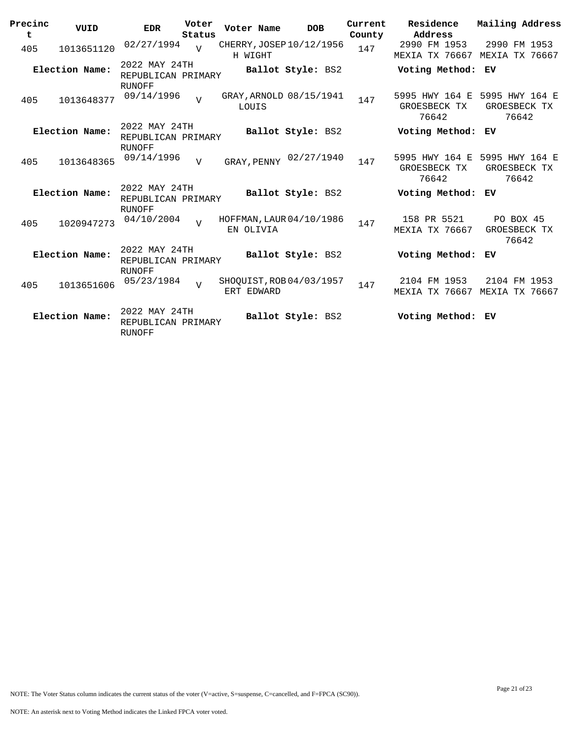| Precinc<br>t | VUID           | <b>EDR</b>                                           | Voter<br>Status | Voter Name  | <b>DOB</b>               | Current<br>County | Residence<br>Address                                   | Mailing Address                    |
|--------------|----------------|------------------------------------------------------|-----------------|-------------|--------------------------|-------------------|--------------------------------------------------------|------------------------------------|
| 405          | 1013651120     | 02/27/1994                                           | $\overline{U}$  | H WIGHT     | CHERRY, JOSEP 10/12/1956 | 147               | 2990 FM 1953<br>MEXIA TX 76667 MEXIA TX 76667          | 2990 FM 1953                       |
|              | Election Name: | 2022 MAY 24TH<br>REPUBLICAN PRIMARY<br><b>RUNOFF</b> |                 |             | Ballot Style: BS2        |                   | Voting Method: EV                                      |                                    |
| 405          | 1013648377     | 09/14/1996                                           | $\overline{U}$  | LOUIS       | GRAY, ARNOLD 08/15/1941  | 147               | 5995 HWY 164 E 5995 HWY 164 E<br>GROESBECK TX<br>76642 | GROESBECK TX<br>76642              |
|              | Election Name: | 2022 MAY 24TH<br>REPUBLICAN PRIMARY                  |                 |             | Ballot Style: BS2        |                   | Voting Method:                                         | EV                                 |
| 405          | 1013648365     | RUNOFF<br>09/14/1996                                 | $\overline{V}$  | GRAY, PENNY | 02/27/1940               | 147               | 5995 HWY 164 E 5995 HWY 164 E<br>GROESBECK TX<br>76642 | GROESBECK TX<br>76642              |
|              | Election Name: | 2022 MAY 24TH<br>REPUBLICAN PRIMARY<br><b>RUNOFF</b> |                 |             | Ballot Style: BS2        |                   | Voting Method:                                         | ЕV                                 |
| 405          | 1020947273     | 04/10/2004                                           | $\overline{U}$  | EN OLIVIA   | HOFFMAN, LAUR 04/10/1986 | 147               | 158 PR 5521<br><b>MEXIA TX 76667</b>                   | PO BOX 45<br>GROESBECK TX<br>76642 |
|              | Election Name: | 2022 MAY 24TH<br>REPUBLICAN PRIMARY<br><b>RUNOFF</b> |                 |             | Ballot Style: BS2        |                   | Voting Method:                                         | ЕV                                 |
| 405          | 1013651606     | 05/23/1984                                           | $\overline{U}$  | ERT EDWARD  | SHOQUIST, ROB 04/03/1957 | 147               | 2104 FM 1953<br><b>MEXIA TX 76667</b>                  | 2104 FM 1953<br>MEXIA TX 76667     |
|              | Election Name: | 2022 MAY 24TH<br>REPUBLICAN PRIMARY<br><b>RUNOFF</b> |                 |             | Ballot Style: BS2        |                   | Voting Method: EV                                      |                                    |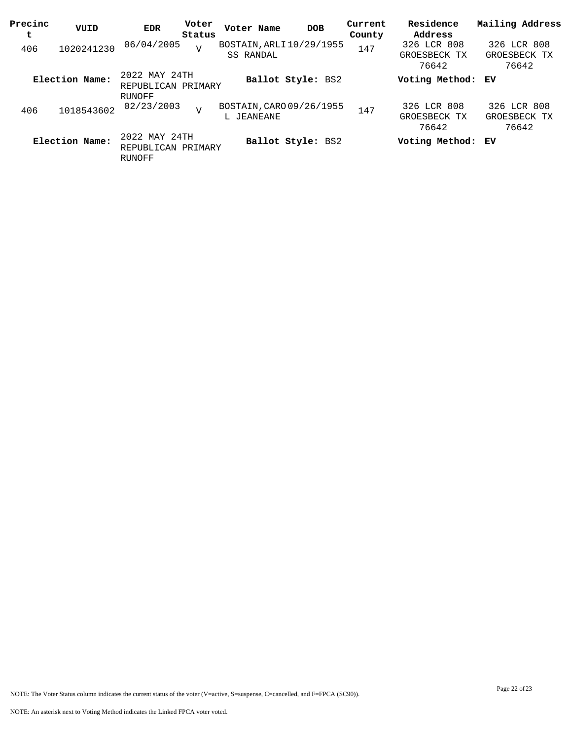| Precinc<br>t | VUID           | EDR                                           | Voter<br>Status | Voter Name | <b>DOB</b>               | Current<br>County | Residence<br>Address                 | Mailing Address                      |
|--------------|----------------|-----------------------------------------------|-----------------|------------|--------------------------|-------------------|--------------------------------------|--------------------------------------|
| 406          | 1020241230     | 06/04/2005                                    | $\overline{V}$  | SS RANDAL  | BOSTAIN, ARLI 10/29/1955 | 147               | 326 LCR 808<br>GROESBECK TX<br>76642 | 326 LCR 808<br>GROESBECK TX<br>76642 |
|              | Election Name: | 2022 MAY 24TH<br>REPUBLICAN PRIMARY<br>RUNOFF |                 |            | Ballot Style: BS2        |                   | Voting Method: EV                    |                                      |
| 406          | 1018543602     | 02/23/2003                                    | $\overline{V}$  | L JEANEANE | BOSTAIN, CARO 09/26/1955 | 147               | 326 LCR 808<br>GROESBECK TX<br>76642 | 326 LCR 808<br>GROESBECK TX<br>76642 |
|              | Election Name: | 2022 MAY 24TH<br>REPUBLICAN PRIMARY<br>RUNOFF |                 |            | Ballot Style: BS2        |                   | Voting Method: EV                    |                                      |